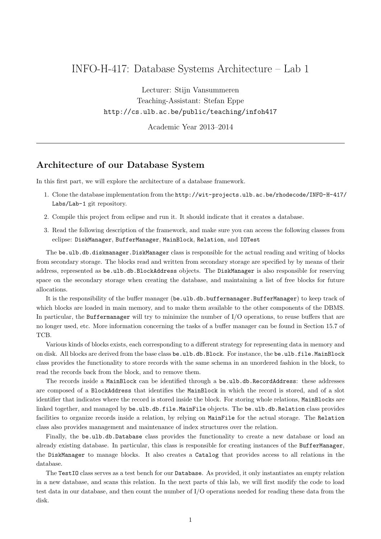## INFO-H-417: Database Systems Architecture – Lab 1

Lecturer: Stijn Vansummeren Teaching-Assistant: Stefan Eppe http://cs.ulb.ac.be/public/teaching/infoh417

Academic Year 2013–2014

### Architecture of our Database System

In this first part, we will explore the architecture of a database framework.

- 1. Clone the database implementation from the http://wit-projects.ulb.ac.be/rhodecode/INFO-H-417/ Labs/Lab-1 git repository.
- 2. Compile this project from eclipse and run it. It should indicate that it creates a database.
- 3. Read the following description of the framework, and make sure you can access the following classes from eclipse: DiskManager, BufferManager, MainBlock, Relation, and IOTest

The be.ulb.db.diskmanager.DiskManager class is responsible for the actual reading and writing of blocks from secondary storage. The blocks read and written from secondary storage are specified by by means of their address, represented as be.ulb.db.BlockAddress objects. The DiskManager is also responsible for reserving space on the secondary storage when creating the database, and maintaining a list of free blocks for future allocations.

It is the responsibility of the buffer manager (be.ulb.db.buffermanager.BufferManager) to keep track of which blocks are loaded in main memory, and to make them available to the other components of the DBMS. In particular, the Buffermanager will try to minimize the number of I/O operations, to reuse buffers that are no longer used, etc. More information concerning the tasks of a buffer manager can be found in Section 15.7 of TCB.

Various kinds of blocks exists, each corresponding to a different strategy for representing data in memory and on disk. All blocks are derived from the base class be.ulb.db.Block. For instance, the be.ulb.file.MainBlock class provides the functionality to store records with the same schema in an unordered fashion in the block, to read the records back from the block, and to remove them.

The records inside a MainBlock can be identified through a be.ulb.db.RecordAddress: these addresses are composed of a BlockAddress that identifies the MainBlock in which the record is stored, and of a slot identifier that indicates where the record is stored inside the block. For storing whole relations, MainBlocks are linked together, and managed by be.ulb.db.file.MainFile objects. The be.ulb.db.Relation class provides facilities to organize records inside a relation, by relying on MainFile for the actual storage. The Relation class also provides management and maintenance of index structures over the relation.

Finally, the be.ulb.db.Database class provides the functionality to create a new database or load an already existing database. In particular, this class is responsible for creating instances of the BufferManager, the DiskManager to manage blocks. It also creates a Catalog that provides access to all relations in the database.

The TestIO class serves as a test bench for our Database. As provided, it only instantiates an empty relation in a new database, and scans this relation. In the next parts of this lab, we will first modify the code to load test data in our database, and then count the number of I/O operations needed for reading these data from the disk.